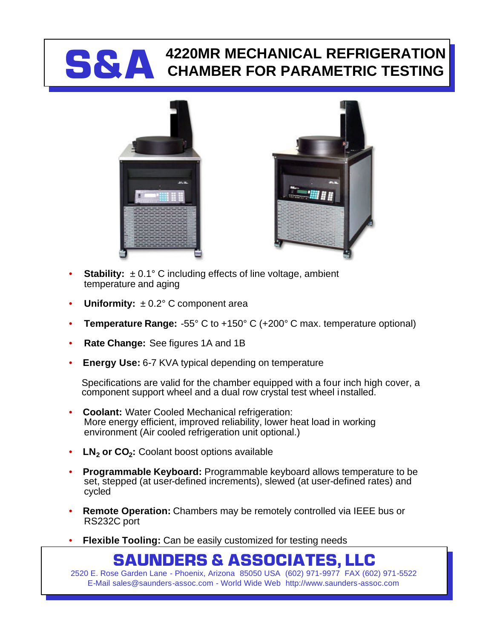## **S&A 4220MR MECHANICAL REFRIGERATION CHAMBER FOR PARAMETRIC TESTING**





- **Stability:**  $\pm 0.1^{\circ}$  C including effects of line voltage, ambient temperature and aging
- **Uniformity:** ± 0.2° C component area
- **Temperature Range:** -55° C to +150° C (+200° C max. temperature optional)
- **Rate Change:** See figures 1A and 1B
- **Energy Use: 6-7 KVA typical depending on temperature**

Specifications are valid for the chamber equipped with a four inch high cover, a component support wheel and a dual row crystal test wheel installed.

- **Coolant:** Water Cooled Mechanical refrigeration: More energy efficient, improved reliability, lower heat load in working environment (Air cooled refrigeration unit optional.)
- **LN<sup>2</sup> or CO<sup>2</sup> :** Coolant boost options available
- **Programmable Keyboard:** Programmable keyboard allows temperature to be set, stepped (at user-defined increments), slewed (at user-defined rates) and cycled
- **Remote Operation:** Chambers may be remotely controlled via IEEE bus or RS232C port
- **Flexible Tooling:** Can be easily customized for testing needs

## **SAUNDERS & ASSOCIATES, LLC**

2520 E. Rose Garden Lane - Phoenix, Arizona 85050 USA (602) 971-9977 FAX (602) 971-5522 E-Mail sales@saunders-assoc.com - World Wide Web http://www.saunders-assoc.com